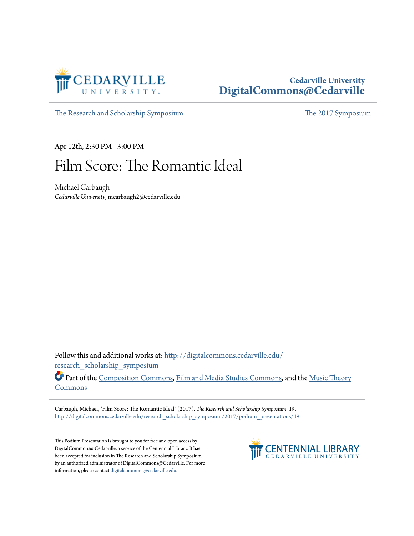

## **Cedarville University [DigitalCommons@Cedarville](http://digitalcommons.cedarville.edu?utm_source=digitalcommons.cedarville.edu%2Fresearch_scholarship_symposium%2F2017%2Fpodium_presentations%2F19&utm_medium=PDF&utm_campaign=PDFCoverPages)**

[The Research and Scholarship Symposium](http://digitalcommons.cedarville.edu/research_scholarship_symposium?utm_source=digitalcommons.cedarville.edu%2Fresearch_scholarship_symposium%2F2017%2Fpodium_presentations%2F19&utm_medium=PDF&utm_campaign=PDFCoverPages) [The 2017 Symposium](http://digitalcommons.cedarville.edu/research_scholarship_symposium/2017?utm_source=digitalcommons.cedarville.edu%2Fresearch_scholarship_symposium%2F2017%2Fpodium_presentations%2F19&utm_medium=PDF&utm_campaign=PDFCoverPages)

Apr 12th, 2:30 PM - 3:00 PM

## Film Score: The Romantic Ideal

Michael Carbaugh *Cedarville University*, mcarbaugh2@cedarville.edu

Follow this and additional works at: [http://digitalcommons.cedarville.edu/](http://digitalcommons.cedarville.edu/research_scholarship_symposium?utm_source=digitalcommons.cedarville.edu%2Fresearch_scholarship_symposium%2F2017%2Fpodium_presentations%2F19&utm_medium=PDF&utm_campaign=PDFCoverPages) [research\\_scholarship\\_symposium](http://digitalcommons.cedarville.edu/research_scholarship_symposium?utm_source=digitalcommons.cedarville.edu%2Fresearch_scholarship_symposium%2F2017%2Fpodium_presentations%2F19&utm_medium=PDF&utm_campaign=PDFCoverPages)

Part of the [Composition Commons,](http://network.bepress.com/hgg/discipline/519?utm_source=digitalcommons.cedarville.edu%2Fresearch_scholarship_symposium%2F2017%2Fpodium_presentations%2F19&utm_medium=PDF&utm_campaign=PDFCoverPages) [Film and Media Studies Commons,](http://network.bepress.com/hgg/discipline/563?utm_source=digitalcommons.cedarville.edu%2Fresearch_scholarship_symposium%2F2017%2Fpodium_presentations%2F19&utm_medium=PDF&utm_campaign=PDFCoverPages) and the [Music Theory](http://network.bepress.com/hgg/discipline/522?utm_source=digitalcommons.cedarville.edu%2Fresearch_scholarship_symposium%2F2017%2Fpodium_presentations%2F19&utm_medium=PDF&utm_campaign=PDFCoverPages) [Commons](http://network.bepress.com/hgg/discipline/522?utm_source=digitalcommons.cedarville.edu%2Fresearch_scholarship_symposium%2F2017%2Fpodium_presentations%2F19&utm_medium=PDF&utm_campaign=PDFCoverPages)

Carbaugh, Michael, "Film Score: The Romantic Ideal" (2017). *The Research and Scholarship Symposium*. 19. [http://digitalcommons.cedarville.edu/research\\_scholarship\\_symposium/2017/podium\\_presentations/19](http://digitalcommons.cedarville.edu/research_scholarship_symposium/2017/podium_presentations/19?utm_source=digitalcommons.cedarville.edu%2Fresearch_scholarship_symposium%2F2017%2Fpodium_presentations%2F19&utm_medium=PDF&utm_campaign=PDFCoverPages)

This Podium Presentation is brought to you for free and open access by DigitalCommons@Cedarville, a service of the Centennial Library. It has been accepted for inclusion in The Research and Scholarship Symposium by an authorized administrator of DigitalCommons@Cedarville. For more information, please contact [digitalcommons@cedarville.edu.](mailto:digitalcommons@cedarville.edu)